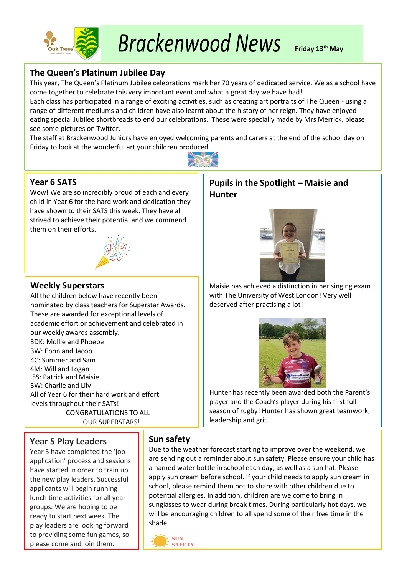

# **Brackenwood News**

#### **The Queen's Platinum Jubilee Day**

This year, The Queen's Platinum Jubilee celebrations mark her 70 years of dedicated service. We as a school have come together to celebrate this very important event and what a great day we have had!

Each class has participated in a range of exciting activities, such as creating art portraits of The Queen - using a range of different mediums and children have also learnt about the history of her reign. They have enjoyed eating special Jubilee shortbreads to end our celebrations. These were specially made by Mrs Merrick, please see some pictures on Twitter.

The staff at Brackenwood Juniors have enjoyed welcoming parents and carers at the end of the school day on Friday to look at the wonderful art your children produced.



## **Year 6 SATS**

Wow! We are so incredibly proud of each and every child in Year 6 for the hard work and dedication they have shown to their SATS this week. They have all strived to achieve their potential and we commend them on their efforts.



#### **Weekly Superstars**

All the children below have recently been nominated by class teachers for Superstar Awards. These are awarded for exceptional levels of academic effort or achievement and celebrated in our weekly awards assembly. 3DK: Mollie and Phoebe 3W: Ebon and Jacob 4C: Summer and Sam 4M: Will and Logan 5S: Patrick and Maisie 5W: Charlie and Lily All of Year 6 for their hard work and effort levels throughout their SATs! CONGRATULATIONS TO ALL OUR SUPERSTARS!

#### **Year 5 Play Leaders**

Year 5 have completed the 'job application' process and sessions have started in order to train up the new play leaders. Successful applicants will begin running lunch time activities for all year groups. We are hoping to be ready to start next week. The play leaders are looking forward to providing some fun games, so please come and join them.

## **Sun safety**

Due to the weather forecast starting to improve over the weekend, we are sending out a reminder about sun safety. Please ensure your child has a named water bottle in school each day, as well as a sun hat. Please apply sun cream before school. If your child needs to apply sun cream in school, please remind them not to share with other children due to potential allergies. In addition, children are welcome to bring in sunglasses to wear during break times. During particularly hot days, we will be encouraging children to all spend some of their free time in the shade.



# **Pupilsin the Spotlight – Maisie and Hunter**



Maisie has achieved a distinction in her singing exam with The University of West London! Very well deserved after practising a lot!



Hunter has recently been awarded both the Parent's player and the Coach's player during his first full season of rugby! Hunter has shown great teamwork, leadership and grit.